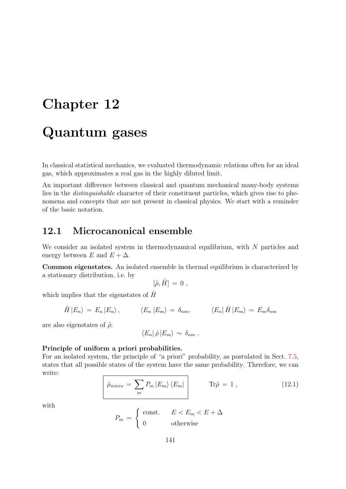# Chapter 12 Quantum gases

In classical statistical mechanics, we evaluated thermodynamic relations often for an ideal gas, which approximates a real gas in the highly diluted limit.

An important difference between classical and quantum mechanical many-body systems lies in the distinguishable character of their constituent particles, which gives rise to phenomena and concepts that are not present in classical physics. We start with a reminder of the basic notation.

# 12.1 Microcanonical ensemble

We consider an isolated system in thermodynamical equilibrium, with N particles and energy between E and  $E + \Delta$ .

Common eigenstates. An isolated ensemble in thermal equilibrium is characterized by a stationary distribution, i.e. by

$$
[\hat{\rho},\hat{H}] = 0 ,
$$

which implies that the eigenstates of  $\hat{H}$ 

$$
\hat{H} |E_n\rangle = E_n |E_n\rangle, \qquad \langle E_n |E_m\rangle = \delta_{nm}, \qquad \langle E_n | \hat{H} |E_m\rangle = E_m \delta_{nm}
$$

are also eigenstates of  $\hat{\rho}$ :

$$
\langle E_n|\hat{\rho}|E_m\rangle \sim \delta_{nm}.
$$

#### Principle of uniform a priori probabilities.

For an isolated system, the principle of "a priori" probability, as postulated in Sect. 7.5, states that all possible states of the system have the same probability. Therefore, we can write:

$$
\hat{\rho}_{micro} = \sum_{m} P_{m} |E_{m}\rangle \langle E_{m}| \qquad \text{Tr}\hat{\rho} = 1 , \qquad (12.1)
$$

with

$$
P_m = \begin{cases} \text{const.} & E < E_m < E + \Delta \\ 0 & \text{otherwise} \end{cases}
$$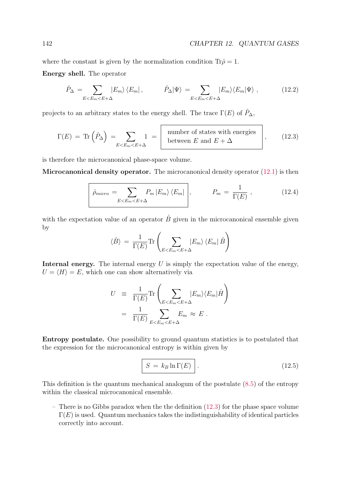where the constant is given by the normalization condition  $\text{Tr}\hat{\rho}=1$ .

Energy shell. The operator

$$
\hat{P}_{\Delta} = \sum_{E < E_m < E + \Delta} |E_m\rangle \langle E_m| \,, \qquad \hat{P}_{\Delta} |\Psi\rangle = \sum_{E < E_m < E + \Delta} |E_m\rangle \langle E_m | \Psi\rangle \,, \tag{12.2}
$$

projects to an arbitrary states to the energy shell. The trace  $\Gamma(E)$  of  $\hat{P}_{\Delta}$ ,

$$
\Gamma(E) = \text{Tr}\left(\hat{P}_{\Delta}\right) = \sum_{E < E_m < E + \Delta} 1 = \left[ \begin{array}{c} \text{number of states with energies} \\ \text{between } E \text{ and } E + \Delta \end{array} \right],\tag{12.3}
$$

is therefore the microcanonical phase-space volume.

Microcanonical density operator. The microcanonical density operator (12.1) is then

$$
\hat{\rho}_{micro} = \sum_{E < E_m < E + \Delta} P_m \left| E_m \right\rangle \left\langle E_m \right| \,, \qquad P_m = \frac{1}{\Gamma(E)} \,, \tag{12.4}
$$

with the expectation value of an operator  $\hat{B}$  given in the microcanonical ensemble given by

$$
\langle \hat{B} \rangle = \frac{1}{\Gamma(E)} \text{Tr} \left( \sum_{E < E_m < E + \Delta} |E_m\rangle \langle E_m| \hat{B} \right)
$$

Internal energy. The internal energy  $U$  is simply the expectation value of the energy,  $U = \langle H \rangle = E$ , which one can show alternatively via

$$
U = \frac{1}{\Gamma(E)} \text{Tr} \left( \sum_{E < E_m < E + \Delta} |E_m\rangle \langle E_m| \hat{H} \right)
$$
\n
$$
= \frac{1}{\Gamma(E)} \sum_{E < E_m < E + \Delta} E_m \approx E.
$$

Entropy postulate. One possibility to ground quantum statistics is to postulated that the expression for the microcanonical entropy is within given by

$$
S = k_B \ln \Gamma(E) \quad . \tag{12.5}
$$

This definition is the quantum mechanical analogum of the postulate (8.5) of the entropy within the classical microcanonical ensemble.

– There is no Gibbs paradox when the the definition (12.3) for the phase space volume  $\Gamma(E)$  is used. Quantum mechanics takes the indistinguishability of identical particles correctly into account.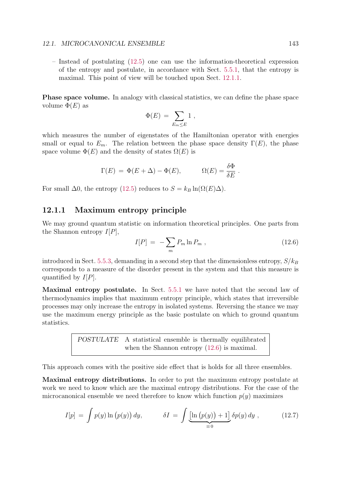#### 12.1. MICROCANONICAL ENSEMBLE 143

– Instead of postulating (12.5) one can use the information-theoretical expression of the entropy and postulate, in accordance with Sect. 5.5.1, that the entropy is maximal. This point of view will be touched upon Sect. 12.1.1.

Phase space volume. In analogy with classical statistics, we can define the phase space volume  $\Phi(E)$  as

$$
\Phi(E) = \sum_{E_m \leq E} 1 ,
$$

which measures the number of eigenstates of the Hamiltonian operator with energies small or equal to  $E_m$ . The relation between the phase space density  $\Gamma(E)$ , the phase space volume  $\Phi(E)$  and the density of states  $\Omega(E)$  is

$$
\Gamma(E) = \Phi(E + \Delta) - \Phi(E),
$$
\n $\Omega(E) = \frac{\delta \Phi}{\delta E}.$ 

For small  $\Delta 0$ , the entropy (12.5) reduces to  $S = k_B \ln(\Omega(E)\Delta)$ .

#### 12.1.1 Maximum entropy principle

We may ground quantum statistic on information theoretical principles. One parts from the Shannon entropy  $I[P]$ ,

$$
I[P] = -\sum_{m} P_{m} \ln P_{m} , \qquad (12.6)
$$

introduced in Sect. 5.5.3, demanding in a second step that the dimensionless entropy,  $S/k_B$ corresponds to a measure of the disorder present in the system and that this measure is quantified by  $I[P]$ .

Maximal entropy postulate. In Sect. 5.5.1 we have noted that the second law of thermodynamics implies that maximum entropy principle, which states that irreversible processes may only increase the entropy in isolated systems. Reversing the stance we may use the maximum energy principle as the basic postulate on which to ground quantum statistics.

> POSTULATE A statistical ensemble is thermally equilibrated when the Shannon entropy  $(12.6)$  is maximal.

This approach comes with the positive side effect that is holds for all three ensembles.

Maximal entropy distributions. In order to put the maximum entropy postulate at work we need to know which are the maximal entropy distributions. For the case of the microcanonical ensemble we need therefore to know which function  $p(y)$  maximizes

$$
I[p] = \int p(y) \ln (p(y)) dy, \qquad \delta I = \int \underbrace{\left[\ln (p(y)) + 1\right]}_{\equiv 0} \delta p(y) dy , \qquad (12.7)
$$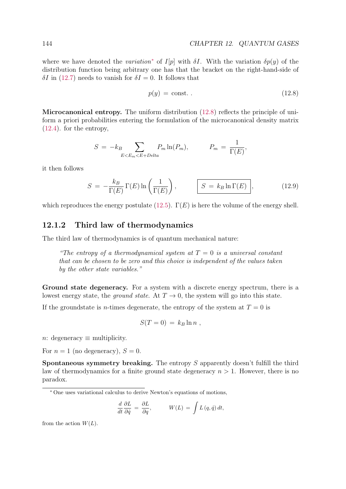where we have denoted the variation<sup>\*</sup> of I[p] with  $\delta I$ . With the variation  $\delta p(y)$  of the distribution function being arbitrary one has that the bracket on the right-hand-side of  $\delta I$  in (12.7) needs to vanish for  $\delta I = 0$ . It follows that

$$
p(y) = \text{const.} \tag{12.8}
$$

Microcanonical entropy. The uniform distribution  $(12.8)$  reflects the principle of uniform a priori probabilities entering the formulation of the microcanonical density matrix (12.4). for the entropy,

$$
S = -k_B \sum_{E < E_m < E + Delta} P_m \ln(P_m), \qquad P_m = \frac{1}{\Gamma(E)},
$$

it then follows

$$
S = -\frac{k_B}{\Gamma(E)} \Gamma(E) \ln\left(\frac{1}{\Gamma(E)}\right), \qquad \boxed{S = k_B \ln \Gamma(E)}, \qquad (12.9)
$$

which reproduces the energy postulate (12.5).  $\Gamma(E)$  is here the volume of the energy shell.

## 12.1.2 Third law of thermodynamics

The third law of thermodynamics is of quantum mechanical nature:

"The entropy of a thermodynamical system at  $T = 0$  is a universal constant that can be chosen to be zero and this choice is independent of the values taken by the other state variables."

Ground state degeneracy. For a system with a discrete energy spectrum, there is a lowest energy state, the ground state. At  $T \to 0$ , the system will go into this state.

If the groundstate is *n*-times degenerate, the entropy of the system at  $T = 0$  is

$$
S(T=0) = k_B \ln n ,
$$

n: degeneracy  $\equiv$  multiplicity.

For  $n = 1$  (no degeneracy),  $S = 0$ .

**Spontaneous symmetry breaking.** The entropy  $S$  apparently doesn't fulfill the third law of thermodynamics for a finite ground state degeneracy  $n > 1$ . However, there is no paradox.

<sup>∗</sup> One uses variational calculus to derive Newton's equations of motions,

$$
\frac{d}{dt}\frac{\partial L}{\partial \dot{q}} = \frac{\partial L}{\partial q}, \qquad W(L) = \int L(q, \dot{q}) dt,
$$

from the action  $W(L)$ .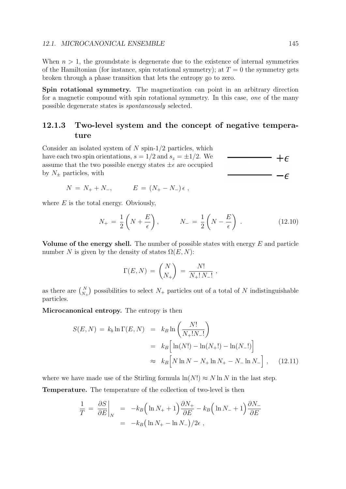When  $n > 1$ , the groundstate is degenerate due to the existence of internal symmetries of the Hamiltonian (for instance, spin rotational symmetry); at  $T = 0$  the symmetry gets broken through a phase transition that lets the entropy go to zero.

Spin rotational symmetry. The magnetization can point in an arbitrary direction for a magnetic compound with spin rotational symmetry. In this case, one of the many possible degenerate states is spontaneously selected.

## 12.1.3 Two-level system and the concept of negative temperature

Consider an isolated system of  $N$  spin- $1/2$  particles, which have each two spin orientations,  $s = 1/2$  and  $s_z = \pm 1/2$ . We assume that the two possible energy states  $\pm \epsilon$  are occupied by  $N_{\pm}$  particles, with

$$
N = N_{+} + N_{-}, \qquad E = (N_{+} - N_{-}) \epsilon ,
$$

where  $E$  is the total energy. Obviously,

$$
N_{+} = \frac{1}{2} \left( N + \frac{E}{\epsilon} \right), \qquad N_{-} = \frac{1}{2} \left( N - \frac{E}{\epsilon} \right) . \tag{12.10}
$$

Volume of the energy shell. The number of possible states with energy  $E$  and particle number N is given by the density of states  $\Omega(E, N)$ :

$$
\Gamma(E, N) = {N \choose N_+} = \frac{N!}{N_+! N_-!},
$$

as there are  $\binom{N}{N_+}$  possibilities to select  $N_+$  particles out of a total of N indistinguishable particles.

Microcanonical entropy. The entropy is then

$$
S(E, N) = k_b \ln \Gamma(E, N) = k_B \ln \left( \frac{N!}{N_+! N_-!} \right)
$$
  
=  $k_B \left[ \ln(N!) - \ln(N_+!) - \ln(N_-!) \right]$   
 $\approx k_B \left[ N \ln N - N_+ \ln N_+ - N_- \ln N_- \right],$  (12.11)

where we have made use of the Stirling formula  $\ln(N!) \approx N \ln N$  in the last step.

Temperature. The temperature of the collection of two-level is then

$$
\frac{1}{T} = \frac{\partial S}{\partial E}\Big|_{N} = -k_B \Big( \ln N_+ + 1 \Big) \frac{\partial N_+}{\partial E} - k_B \Big( \ln N_- + 1 \Big) \frac{\partial N_-}{\partial E}
$$
  
=  $-k_B \Big( \ln N_+ - \ln N_- \Big) / 2\epsilon$ ,

 $+ \epsilon$ 

 $-\epsilon$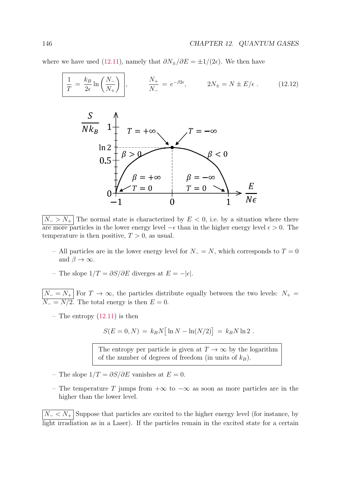where we have used (12.11), namely that  $\partial N_{\pm}/\partial E = \pm 1/(2\epsilon)$ . We then have

$$
\frac{1}{T} = \frac{k_B}{2\epsilon} \ln\left(\frac{N_-}{N_+}\right), \qquad \frac{N_+}{N_-} = e^{-\beta 2\epsilon}, \qquad 2N_\pm = N \pm E/\epsilon. \qquad (12.12)
$$



 $N_{-} > N_{+}$  The normal state is characterized by  $E < 0$ , i.e. by a situation where there are more particles in the lower energy level  $-\epsilon$  than in the higher energy level  $\epsilon > 0$ . The temperature is then positive,  $T > 0$ , as usual.

- All particles are in the lower energy level for  $N_ = N$ , which corresponds to  $T = 0$ and  $\beta \to \infty$ .
- The slope  $1/T = \partial S/\partial E$  diverges at  $E = -|\epsilon|$ .

 $N_ - = N_ +$  For  $T \to \infty$ , the particles distribute equally between the two levels:  $N_ + =$  $N_ = N/2$ . The total energy is then  $E = 0$ .

– The entropy  $(12.11)$  is then

$$
S(E = 0, N) = k_B N [\ln N - \ln(N/2)] = k_B N \ln 2.
$$

The entropy per particle is given at  $T \to \infty$  by the logarithm of the number of degrees of freedom (in units of  $k_B$ ).

- The slope  $1/T = \partial S/\partial E$  vanishes at  $E = 0$ .
- The temperature T jumps from +∞ to −∞ as soon as more particles are in the higher than the lower level.

 $N-$  <  $N_+$  Suppose that particles are excited to the higher energy level (for instance, by light irradiation as in a Laser). If the particles remain in the excited state for a certain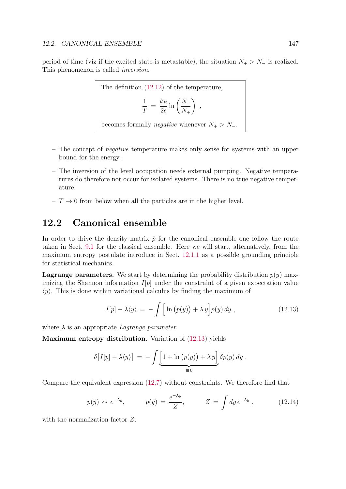period of time (viz if the excited state is metastable), the situation  $N_+ > N_-$  is realized. This phenomenon is called inversion.

The definition (12.12) of the temperature,  
\n
$$
\frac{1}{T} = \frac{k_B}{2\epsilon} \ln\left(\frac{N_-}{N_+}\right) ,
$$
\nbecomes formally negative whenever  $N_+ > N_-$ .

- The concept of negative temperature makes only sense for systems with an upper bound for the energy.
- The inversion of the level occupation needs external pumping. Negative temperatures do therefore not occur for isolated systems. There is no true negative temperature.
- $T \rightarrow 0$  from below when all the particles are in the higher level.

## 12.2 Canonical ensemble

In order to drive the density matrix  $\hat{\rho}$  for the canonical ensemble one follow the route taken in Sect. 9.1 for the classical ensemble. Here we will start, alternatively, from the maximum entropy postulate introduce in Sect. 12.1.1 as a possible grounding principle for statistical mechanics.

**Lagrange parameters.** We start by determining the probability distribution  $p(y)$  maximizing the Shannon information  $I[p]$  under the constraint of a given expectation value  $\langle y \rangle$ . This is done within variational calculus by finding the maximum of

$$
I[p] - \lambda \langle y \rangle = -\int \Big[ \ln (p(y)) + \lambda y \Big] p(y) \, dy \;, \tag{12.13}
$$

where  $\lambda$  is an appropriate *Lagrange parameter*.

Maximum entropy distribution. Variation of  $(12.13)$  yields

$$
\delta[I[p] - \lambda \langle y \rangle] = -\int \underbrace{\left[1 + \ln (p(y)) + \lambda y\right]}_{\equiv 0} \delta p(y) \, dy.
$$

Compare the equivalent expression (12.7) without constraints. We therefore find that

$$
p(y) \sim e^{-\lambda y}, \qquad p(y) = \frac{e^{-\lambda y}}{Z}, \qquad Z = \int dy \, e^{-\lambda y} \,, \tag{12.14}
$$

with the normalization factor Z.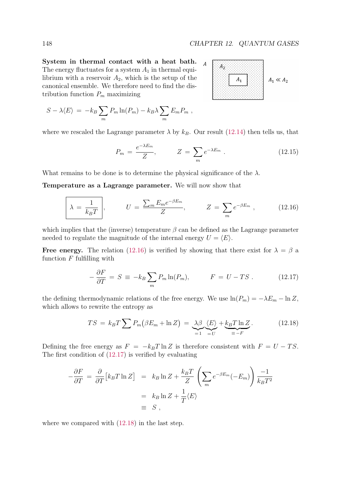System in thermal contact with a heat bath. The energy fluctuates for a system  $A_1$  in thermal equilibrium with a reservoir  $A_2$ , which is the setup of the canonical ensemble. We therefore need to find the distribution function  $P_m$  maximizing



$$
S - \lambda \langle E \rangle = -k_B \sum_m P_m \ln(P_m) - k_B \lambda \sum_m E_m P_m ,
$$

where we rescaled the Lagrange parameter  $\lambda$  by  $k_B$ . Our result (12.14) then tells us, that

$$
P_m = \frac{e^{-\lambda E_m}}{Z}, \qquad Z = \sum_m e^{-\lambda E_m} . \qquad (12.15)
$$

What remains to be done is to determine the physical significance of the  $\lambda$ .

Temperature as a Lagrange parameter. We will now show that

$$
\lambda = \frac{1}{k_B T} \bigg|, \qquad U = \frac{\sum_m E_m e^{-\beta E_m}}{Z}, \qquad Z = \sum_m e^{-\beta E_m} \bigg|, \qquad (12.16)
$$

which implies that the (inverse) temperature  $\beta$  can be defined as the Lagrange parameter needed to regulate the magnitude of the internal energy  $U = \langle E \rangle$ .

Free energy. The relation (12.16) is verified by showing that there exist for  $\lambda = \beta$  a function  $F$  fulfilling with

$$
-\frac{\partial F}{\partial T} = S \equiv -k_B \sum_m P_m \ln(P_m), \qquad F = U - TS. \qquad (12.17)
$$

the defining thermodynamic relations of the free energy. We use  $\ln(P_m) = -\lambda E_m - \ln Z$ , which allows to rewrite the entropy as

$$
TS = k_B T \sum P_m (\beta E_m + \ln Z) = \underbrace{\lambda \beta}_{=1} \underbrace{\langle E \rangle}_{=U} + \underbrace{k_B T \ln Z}_{\equiv -F}.
$$
 (12.18)

Defining the free energy as  $F = -k_BT \ln Z$  is therefore consistent with  $F = U - TS$ . The first condition of (12.17) is verified by evaluating

$$
-\frac{\partial F}{\partial T} = \frac{\partial}{\partial T} \left[ k_B T \ln Z \right] = k_B \ln Z + \frac{k_B T}{Z} \left( \sum_m e^{-\beta E_m} (-E_m) \right) \frac{-1}{k_B T^2}
$$
  
=  $k_B \ln Z + \frac{1}{T} \langle E \rangle$   
= S,

where we compared with  $(12.18)$  in the last step.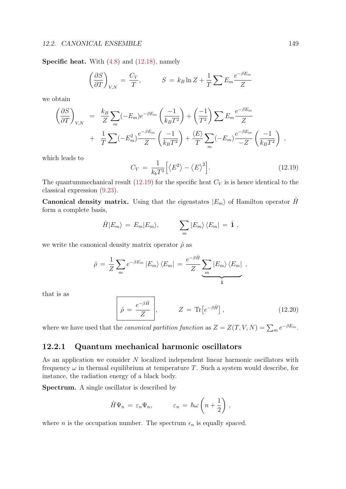Specific heat. With  $(4.8)$  and  $(12.18)$ , namely

$$
\left(\frac{\partial S}{\partial T}\right)_{V,N} = \frac{C_V}{T}, \qquad S = k_B \ln Z + \frac{1}{T} \sum E_m \frac{e^{-\beta E_m}}{Z}
$$

we obtain

$$
\left(\frac{\partial S}{\partial T}\right)_{V,N} = \frac{k_B}{Z} \sum_m (-E_m) e^{-\beta E_m} \left(\frac{-1}{k_B T^2}\right) + \left(\frac{-1}{T^2}\right) \sum E_m \frac{e^{-\beta E_m}}{Z} + \frac{1}{T} \sum (-E_m^2) \frac{e^{-\beta E_m}}{Z} \left(\frac{-1}{k_B T^2}\right) + \frac{\langle E \rangle}{T} \sum_m (-E_m) \frac{e^{-\beta E_m}}{-Z} \left(\frac{-1}{k_B T^2}\right) ,
$$

which leads to

$$
C_V = \frac{1}{k_b T^2} \Big[ \langle E^2 \rangle - \langle E \rangle^2 \Big]. \tag{12.19}
$$

The quantummechanical result (12.19) for the specific heat  $C_V$  is is hence identical to the classical expression (9.23).

**Canonical density matrix.** Using that the eigenstates  $|E_m\rangle$  of Hamilton operator  $\hat{H}$ form a complete basis,

$$
\hat{H}|E_m\rangle = E_m|E_m\rangle, \qquad \sum_m |E_m\rangle\langle E_m| = \hat{\mathbf{1}},
$$

we write the canonical density matrix operator  $\hat{\rho}$  as

$$
\hat{\rho} = \frac{1}{Z} \sum_{m} e^{-\beta E_{m}} |E_{m}\rangle \langle E_{m}| = \frac{e^{-\beta \hat{H}}}{Z} \underbrace{\sum_{m} |E_{m}\rangle \langle E_{m}|}_{\hat{I}},
$$

that is as

$$
\hat{\rho} = \frac{e^{-\beta \hat{H}}}{Z}, \qquad Z = \text{Tr}\left[e^{-\beta \hat{H}}\right], \qquad (12.20)
$$

where we have used that the *canonical partition function* as  $Z = Z(T, V, N) = \sum_{m} e^{-\beta E_m}$ .

## 12.2.1 Quantum mechanical harmonic oscillators

As an application we consider N localized independent linear harmonic oscillators with frequency  $\omega$  in thermal equilibrium at temperature T. Such a system would describe, for instance, the radiation energy of a black body.

Spectrum. A single oscillator is described by

$$
\hat{H}\Psi_n = \varepsilon_n \Psi_n, \qquad \varepsilon_n = \hbar \omega \left(n + \frac{1}{2}\right),
$$

where *n* is the occupation number. The spectrum  $\epsilon_n$  is equally spaced.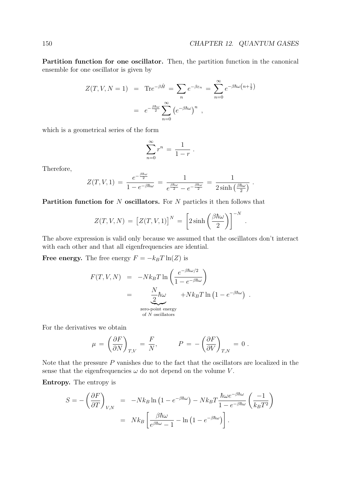.

Partition function for one oscillator. Then, the partition function in the canonical ensemble for one oscillator is given by

$$
Z(T, V, N = 1) = \text{Tr}e^{-\beta \hat{H}} = \sum_{n} e^{-\beta \varepsilon_{n}} = \sum_{n=0}^{\infty} e^{-\beta \hbar \omega (n + \frac{1}{2})}
$$

$$
= e^{-\frac{\beta \hbar \omega}{2}} \sum_{n=0}^{\infty} (e^{-\beta \hbar \omega})^{n},
$$

which is a geometrical series of the form

$$
\sum_{n=0}^{\infty} r^n = \frac{1}{1-r} .
$$

Therefore,

$$
Z(T,V,1) = \frac{e^{-\frac{\beta\hbar\omega}{2}}}{1-e^{-\beta\hbar\omega}} = \frac{1}{e^{\frac{\beta\hbar\omega}{2}}-e^{-\frac{\beta\hbar\omega}{2}}} = \frac{1}{2\sinh\left(\frac{\beta\hbar\omega}{2}\right)}.
$$

**Partition function for N oscillators.** For  $N$  particles it then follows that

$$
Z(T, V, N) = [Z(T, V, 1)]^{N} = \left[2\sinh\left(\frac{\beta\hbar\omega}{2}\right)\right]^{-N}
$$

The above expression is valid only because we assumed that the oscillators don't interact with each other and that all eigenfrequencies are idential.

**Free energy.** The free energy  $F = -k_BT \ln(Z)$  is

$$
F(T, V, N) = -Nk_BT \ln \left( \frac{e^{-\beta \hbar \omega/2}}{1 - e^{-\beta \hbar \omega}} \right)
$$
  
= 
$$
\underbrace{\frac{N}{2} \hbar \omega}_{\text{zero-point energy}} + Nk_BT \ln \left( 1 - e^{-\beta \hbar \omega} \right) .
$$
  
arero-point energy

For the derivatives we obtain

$$
\mu = \left(\frac{\partial F}{\partial N}\right)_{T,V} = \frac{F}{N}, \qquad P = -\left(\frac{\partial F}{\partial V}\right)_{T,N} = 0.
$$

Note that the pressure  $P$  vanishes due to the fact that the oscillators are localized in the sense that the eigenfrequencies  $\omega$  do not depend on the volume  $V$ .

Entropy. The entropy is

$$
S = -\left(\frac{\partial F}{\partial T}\right)_{V,N} = -Nk_B \ln\left(1 - e^{-\beta \hbar \omega}\right) - Nk_B T \frac{\hbar \omega e^{-\beta \hbar \omega}}{1 - e^{-\beta \hbar \omega}} \left(\frac{-1}{k_B T^2}\right)
$$

$$
= Nk_B \left[\frac{\beta \hbar \omega}{e^{\beta \hbar \omega} - 1} - \ln\left(1 - e^{-\beta \hbar \omega}\right)\right].
$$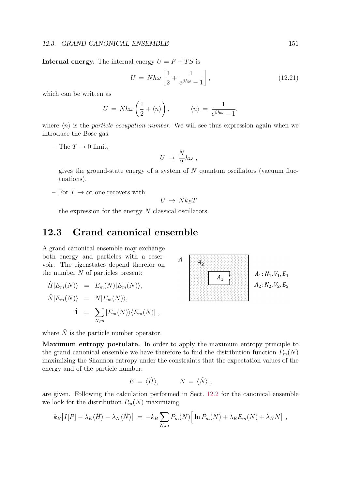#### 12.3. GRAND CANONICAL ENSEMBLE 151

**Internal energy.** The internal energy  $U = F + TS$  is

$$
U = N\hbar\omega \left[\frac{1}{2} + \frac{1}{e^{\beta\hbar\omega} - 1}\right],\tag{12.21}
$$

which can be written as

$$
U = N\hbar\omega\left(\frac{1}{2} + \langle n \rangle\right), \qquad \langle n \rangle = \frac{1}{e^{\beta\hbar\omega} - 1},
$$

where  $\langle n \rangle$  is the *particle occupation number*. We will see thus expression again when we introduce the Bose gas.

– The  $T \to 0$  limit,

$$
U \, \rightarrow \, {N \over 2} \hbar \omega \ ,
$$

gives the ground-state energy of a system of  $N$  quantum oscillators (vacuum fluctuations).

– For  $T \to \infty$  one recovers with

$$
U \to N k_B T
$$

the expression for the energy  $N$  classical oscillators.

# 12.3 Grand canonical ensemble

A grand canonical ensemble may exchange both energy and particles with a reservoir. The eigenstates depend therefor on the number  $N$  of particles present:

$$
\hat{H}|E_m(N)\rangle = E_m(N)|E_m(N)\rangle,
$$
  

$$
\hat{N}|E_m(N)\rangle = N|E_m(N)\rangle,
$$
  

$$
\hat{1} = \sum_{N,m} |E_m(N)\rangle\langle E_m(N)|,
$$



where  $\hat{N}$  is the particle number operator.

Maximum entropy postulate. In order to apply the maximum entropy principle to the grand canonical ensemble we have therefore to find the distribution function  $P_m(N)$ maximizing the Shannon entropy under the constraints that the expectation values of the energy and of the particle number,

$$
E = \langle \hat{H} \rangle, \qquad N = \langle \hat{N} \rangle ,
$$

are given. Following the calculation performed in Sect. 12.2 for the canonical ensemble we look for the distribution  $P_m(N)$  maximizing

$$
k_B\big[I[P] - \lambda_E \langle \hat{H} \rangle - \lambda_N \langle \hat{N} \rangle\big] = -k_B \sum_{N,m} P_m(N) \Big[\ln P_m(N) + \lambda_E E_m(N) + \lambda_N N\Big],
$$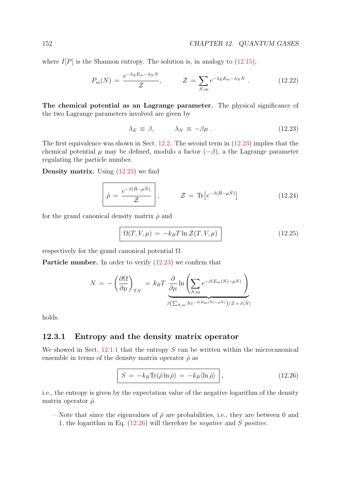where  $I[P]$  is the Shannon entropy. The solution is, in analogy to (12.15),

$$
P_m(N) = \frac{e^{-\lambda_E E_m - \lambda_N N}}{\mathcal{Z}}, \qquad \mathcal{Z} = \sum_{N,m} e^{-\lambda_E E_m - \lambda_N N}.
$$
 (12.22)

The chemical potential as an Lagrange parameter. The physical significance of the two Lagrange parameters involved are given by

$$
\lambda_E \equiv \beta, \qquad \lambda_N \equiv -\beta \mu. \tag{12.23}
$$

The first equivalence was shown in Sect. 12.2. The second term in (12.23) implies that the chemical potential  $\mu$  may be defined, modulo a factor  $(-\beta)$ , a the Lagrange parameter regulating the particle number.

**Density matrix.** Using  $(12.23)$  we find

$$
\hat{\rho} = \frac{e^{-\beta(\hat{H} - \mu \hat{N})}}{\mathcal{Z}}, \qquad \mathcal{Z} = \text{Tr}\left[e^{-\beta(\hat{H} - \mu \hat{N})}\right]
$$
(12.24)

for the grand canonical density matrix  $\hat{\rho}$  and

$$
\Omega(T, V, \mu) = -k_B T \ln \mathcal{Z}(T, V, \mu)
$$
\n(12.25)

respectively for the grand canonical potential  $\Omega$ .

Particle number. In order to verify (12.23) we confirm that

$$
N = -\left(\frac{\partial \Omega}{\partial \mu}\right)_{T,V} = k_B T \underbrace{\frac{\partial}{\partial \mu} \ln \left( \sum_{N,m} e^{-\beta (E_m(N) - \mu N)} \right)}_{\beta \left( \sum_{N,m} N e^{-\beta (E_m(N) - \mu N)} \right) / Z = \beta \langle \hat{N} \rangle}
$$

holds.

#### 12.3.1 Entropy and the density matrix operator

We showed in Sect. 12.1.1 that the entropy  $S$  can be written within the microcanonical ensemble in terms of the density matrix operator  $\hat{\rho}$  as

$$
S = -k_B \text{Tr}(\hat{\rho} \ln \hat{\rho}) = -k_B \langle \ln \hat{\rho} \rangle \,, \tag{12.26}
$$

i.e., the entropy is given by the expectation value of the negative logarithm of the density matrix operator  $\hat{\rho}$ .

– Note that since the eigenvalues of  $\hat{\rho}$  are probabilities, i.e., they are between 0 and 1, the logarithm in Eq. (12.26) will therefore be negative and S positive.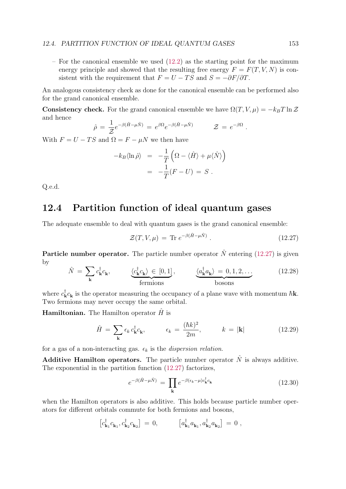– For the canonical ensemble we used  $(12.2)$  as the starting point for the maximum energy principle and showed that the resulting free energy  $F = F(T, V, N)$  is consistent with the requirement that  $F = U - TS$  and  $S = -\partial F/\partial T$ .

An analogous consistency check as done for the canonical ensemble can be performed also for the grand canonical ensemble.

**Consistency check.** For the grand canonical ensemble we have  $\Omega(T, V, \mu) = -k_B T \ln \mathcal{Z}$ and hence

$$
\hat{\rho} = \frac{1}{\mathcal{Z}} e^{-\beta(\hat{H} - \mu \hat{N})} = e^{\beta \Omega} e^{-\beta(\hat{H} - \mu \hat{N})} \qquad \mathcal{Z} = e^{-\beta \Omega}.
$$

With  $F = U - TS$  and  $\Omega = F - \mu N$  we then have

$$
-k_B \langle \ln \hat{\rho} \rangle = -\frac{1}{T} \left( \Omega - \langle \hat{H} \rangle + \mu \langle \hat{N} \rangle \right)
$$
  
= 
$$
-\frac{1}{T} (F - U) = S.
$$

Q.e.d.

# 12.4 Partition function of ideal quantum gases

The adequate ensemble to deal with quantum gases is the grand canonical ensemble:

$$
\mathcal{Z}(T, V, \mu) = \text{Tr } e^{-\beta(\hat{H} - \mu \hat{N})} \,. \tag{12.27}
$$

**Particle number operator.** The particle number operator  $\hat{N}$  entering (12.27) is given by

$$
\hat{N} = \sum_{\mathbf{k}} c_{\mathbf{k}}^{\dagger} c_{\mathbf{k}}, \qquad \underbrace{\langle c_{\mathbf{k}}^{\dagger} c_{\mathbf{k}} \rangle \in [0, 1]}_{\text{fermions}}, \qquad \underbrace{\langle a_{\mathbf{k}}^{\dagger} a_{\mathbf{k}} \rangle = 0, 1, 2, \dots}_{\text{bosons}}
$$
\n(12.28)

where  $c_{\bf k}^{\dagger} c_{\bf k}$  is the operator measuring the occupancy of a plane wave with momentum  $\hbar {\bf k}$ . Two fermions may never occupy the same orbital.

**Hamiltonian.** The Hamilton operator  $\hat{H}$  is

$$
\hat{H} = \sum_{\mathbf{k}} \epsilon_k c_{\mathbf{k}}^{\dagger} c_{\mathbf{k}}, \qquad \epsilon_k = \frac{(\hbar k)^2}{2m}, \qquad k = |\mathbf{k}| \qquad (12.29)
$$

for a gas of a non-interacting gas.  $\epsilon_k$  is the *dispersion relation*.

**Additive Hamilton operators.** The particle number operator  $\hat{N}$  is always additive. The exponential in the partition function (12.27) factorizes,

$$
e^{-\beta(\hat{H}-\mu\hat{N})} = \prod_{\mathbf{k}} e^{-\beta(\epsilon_{\mathbf{k}}-\mu)c_{\mathbf{k}}^{\dagger}c_{\mathbf{k}}} \tag{12.30}
$$

when the Hamilton operators is also additive. This holds because particle number operators for different orbitals commute for both fermions and bosons,

$$
\left[c_{\mathbf{k}_1}^{\dagger}c_{\mathbf{k}_1}, c_{\mathbf{k}_2}^{\dagger}c_{\mathbf{k}_2}\right] = 0, \qquad \left[a_{\mathbf{k}_1}^{\dagger}a_{\mathbf{k}_1}, a_{\mathbf{k}_2}^{\dagger}a_{\mathbf{k}_2}\right] = 0,
$$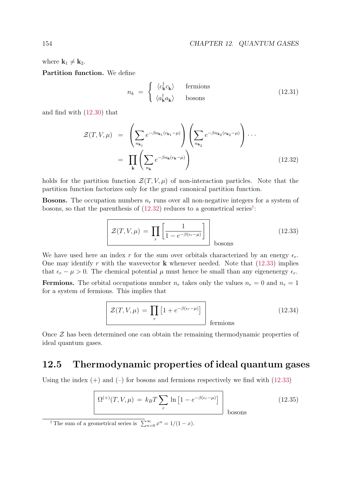where  $\mathbf{k}_1 \neq \mathbf{k}_2$ .

Partition function. We define

$$
n_k = \begin{cases} \langle c_{\mathbf{k}}^{\dagger} c_{\mathbf{k}} \rangle & \text{fermions} \\ \langle a_{\mathbf{k}}^{\dagger} a_{\mathbf{k}} \rangle & \text{bosons} \end{cases}
$$
 (12.31)

and find with (12.30) that

$$
\mathcal{Z}(T, V, \mu) = \left(\sum_{n_{\mathbf{k}_1}} e^{-\beta n_{\mathbf{k}_1}(\epsilon_{\mathbf{k}_1} - \mu)}\right) \left(\sum_{n_{\mathbf{k}_2}} e^{-\beta n_{\mathbf{k}_2}(\epsilon_{\mathbf{k}_2} - \mu)}\right) \cdots
$$

$$
= \prod_{\mathbf{k}} \left(\sum_{n_{\mathbf{k}}} e^{-\beta n_{\mathbf{k}}(\epsilon_{\mathbf{k}} - \mu)}\right)
$$
(12.32)

holds for the partition function  $\mathcal{Z}(T, V, \mu)$  of non-interaction particles. Note that the partition function factorizes only for the grand canonical partition function.

**Bosons.** The occupation numbers  $n_r$  runs over all non-negative integers for a system of bosons, so that the parenthesis of (12.32) reduces to a geometrical series† :

$$
\mathcal{Z}(T, V, \mu) = \prod_{r} \left[ \frac{1}{1 - e^{-\beta(\epsilon_r - \mu)}} \right] \Big|_{\text{bosons}}
$$
(12.33)

We have used here an index r for the sum over orbitals characterized by an energy  $\epsilon_r$ . One may identify r with the wavevector  $\bf{k}$  whenever needed. Note that (12.33) implies that  $\epsilon_r - \mu > 0$ . The chemical potential  $\mu$  must hence be small than any eigenenergy  $\epsilon_r$ .

**Fermions.** The orbital occupations number  $n_r$  takes only the values  $n_r = 0$  and  $n_r = 1$ for a system of fermions. This implies that

$$
\mathcal{Z}(T, V, \mu) = \prod_{r} \left[ 1 + e^{-\beta(\epsilon_r - \mu)} \right]
$$
 fermions (12.34)

Once Z has been determined one can obtain the remaining thermodynamic properties of ideal quantum gases.

## 12.5 Thermodynamic properties of ideal quantum gases

Using the index  $(+)$  and  $(-)$  for bosons and fermions respectively we find with  $(12.33)$ 

$$
\Omega^{(+)}(T, V, \mu) = k_B T \sum_{r} \ln \left[ 1 - e^{-\beta(\epsilon_r - \mu)} \right]
$$
 bosons (12.35)

<sup>†</sup> The sum of a geometrical series is  $\sum_{n=0}^{\infty} x^n = 1/(1-x)$ .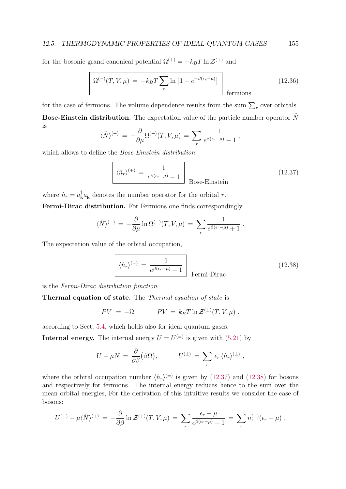for the bosonic grand canonical potential  $\Omega^{(+)} = -k_BT \ln \mathcal{Z}^{(+)}$  and

$$
\Omega^{(-)}(T, V, \mu) = -k_B T \sum_{r} \ln \left[ 1 + e^{-\beta(\epsilon_r - \mu)} \right]
$$
 fermions (12.36)

for the case of fermions. The volume dependence results from the sum  $\sum_{r}$  over orbitals. **Bose-Einstein distribution.** The expectation value of the particle number operator  $\hat{N}$ is

$$
\langle \hat{N} \rangle^{(+)} = -\frac{\partial}{\partial \mu} \Omega^{(+)}(T, V, \mu) = \sum_{r} \frac{1}{e^{\beta(\epsilon_r - \mu)} - 1} ,
$$

which allows to define the *Bose-Einstein distribution* 

$$
\left[\langle \hat{n}_r \rangle^{(+)} = \frac{1}{e^{\beta(\epsilon_r - \mu)} - 1} \right]_{\text{Bose-Einstein}} \tag{12.37}
$$

where  $\hat{n}_r = a_k^{\dagger} a_k$  denotes the number operator for the orbital r. Fermi-Dirac distribution. For Fermions one finds correspondingly

$$
\langle \hat{N} \rangle^{(-)} = -\frac{\partial}{\partial \mu} \ln \Omega^{(-)}(T, V, \mu) = \sum_{r} \frac{1}{e^{\beta(\epsilon_r - \mu)} + 1}.
$$

The expectation value of the orbital occupation,

$$
\left[\langle \hat{n}_r \rangle^{(-)} = \frac{1}{e^{\beta(\epsilon_r - \mu)} + 1}\right] \text{Fermi-Dirac}
$$
\n(12.38)

is the Fermi-Dirac distribution function.

Thermal equation of state. The Thermal equation of state is

$$
PV = -\Omega, \qquad PV = k_B T \ln \mathcal{Z}^{(\pm)}(T, V, \mu) .
$$

according to Sect. 5.4, which holds also for ideal quantum gases.

**Internal energy.** The internal energy  $U = U^{(\pm)}$  is given with (5.21) by

$$
U - \mu N = \frac{\partial}{\partial \beta} (\beta \Omega), \qquad U^{(\pm)} = \sum_r \epsilon_r \langle \hat{n}_r \rangle^{(\pm)} ,
$$

where the orbital occupation number  $\langle \hat{n}_r \rangle^{(\pm)}$  is given by (12.37) and (12.38) for bosons and respectively for fermions. The internal energy reduces hence to the sum over the mean orbital energies, For the derivation of this intuitive results we consider the case of bosons:

$$
U^{(+)} - \mu \langle \hat{N} \rangle^{(+)} = -\frac{\partial}{\partial \beta} \ln \mathcal{Z}^{(+)}(T, V, \mu) = \sum_{r} \frac{\epsilon_r - \mu}{e^{\beta(\epsilon_r - \mu)} - 1} = \sum_{r} n_r^{(+)}(\epsilon_r - \mu) .
$$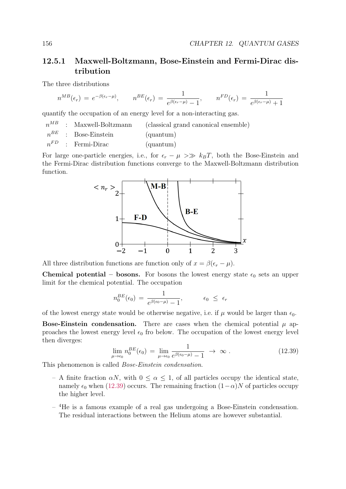## 12.5.1 Maxwell-Boltzmann, Bose-Einstein and Fermi-Dirac distribution

The three distributions

$$
n^{MB}(\epsilon_r) = e^{-\beta(\epsilon_r - \mu)}, \qquad n^{BE}(\epsilon_r) = \frac{1}{e^{\beta(\epsilon_r - \mu)} - 1}, \qquad n^{FD}(\epsilon_r) = \frac{1}{e^{\beta(\epsilon_r - \mu)} + 1}
$$

quantify the occupation of an energy level for a non-interacting gas.

|  | $n^{MB}$ : Maxwell-Boltzmann | (classical grand canonical ensemble) |
|--|------------------------------|--------------------------------------|
|  | $n^{BE}$ : Bose-Einstein     | ${\rm (quantum)}$                    |
|  | $n^{FD}$ : Fermi-Dirac       | (quantum)                            |

For large one-particle energies, i.e., for  $\epsilon_r - \mu >> k_B T$ , both the Bose-Einstein and the Fermi-Dirac distribution functions converge to the Maxwell-Boltzmann distribution function.



All three distribution functions are function only of  $x = \beta(\epsilon_r - \mu)$ .

**Chemical potential – bosons.** For bosons the lowest energy state  $\epsilon_0$  sets an upper limit for the chemical potential. The occupation

$$
n_0^{BE}(\epsilon_0) = \frac{1}{e^{\beta(\epsilon_0 - \mu)} - 1}, \qquad \epsilon_0 \leq \epsilon_r
$$

of the lowest energy state would be otherwise negative, i.e. if  $\mu$  would be larger than  $\epsilon_0$ .

**Bose-Einstein condensation.** There are cases when the chemical potential  $\mu$  approaches the lowest energy level  $\epsilon_0$  fro below. The occupation of the lowest energy level then diverges:

$$
\lim_{\mu \to \epsilon_0} n_0^{BE}(\epsilon_0) = \lim_{\mu \to \epsilon_0} \frac{1}{e^{\beta(\epsilon_0 - \mu)} - 1} \to \infty.
$$
\n(12.39)

This phenomenon is called Bose-Einstein condensation.

- A finite fraction  $\alpha N$ , with  $0 \leq \alpha \leq 1$ , of all particles occupy the identical state, namely  $\epsilon_0$  when (12.39) occurs. The remaining fraction  $(1-\alpha)N$  of particles occupy the higher level.
- $-$ <sup>4</sup>He is a famous example of a real gas undergoing a Bose-Einstein condensation. The residual interactions between the Helium atoms are however substantial.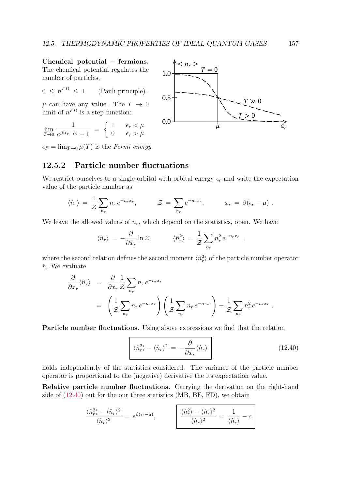Chemical potential – fermions. The chemical potential regulates the number of particles,

$$
0 \leq n^{FD} \leq 1 \qquad \text{(Pauli principle)}.
$$

 $\mu$  can have any value. The  $T \to 0$ limit of  $n^{FD}$  is a step function:

$$
\lim_{T \to 0} \frac{1}{e^{\beta(\epsilon_r - \mu)} + 1} = \begin{cases} 1 & \epsilon_r < \mu \\ 0 & \epsilon_r > \mu \end{cases}
$$

 $\epsilon_F = \lim_{T \to 0} \mu(T)$  is the Fermi energy.

## 12.5.2 Particle number fluctuations

We restrict ourselves to a single orbital with orbital energy  $\epsilon_r$  and write the expectation value of the particle number as

$$
\langle \hat{n}_r \rangle = \frac{1}{\mathcal{Z}} \sum_{n_r} n_r e^{-n_r x_r}, \qquad \mathcal{Z} = \sum_{n_r} e^{-n_r x_r}, \qquad x_r = \beta(\epsilon_r - \mu) .
$$

We leave the allowed values of  $n_r$ , which depend on the statistics, open. We have

$$
\langle \hat{n}_r \rangle = -\frac{\partial}{\partial x_r} \ln \mathcal{Z}, \qquad \langle \hat{n}_r^2 \rangle = \frac{1}{\mathcal{Z}} \sum_{n_r} n_r^2 e^{-n_r x_r} ,
$$

where the second relation defines the second moment  $\langle \hat{n}_r^2 \rangle$  of the particle number operator  $\hat{n}_r$  We evaluate

$$
\frac{\partial}{\partial x_r} \langle \hat{n}_r \rangle = \frac{\partial}{\partial x_r} \frac{1}{\mathcal{Z}} \sum_{n_r} n_r e^{-n_r x_r} \n= \left( \frac{1}{\mathcal{Z}} \sum_{n_r} n_r e^{-n_r x_r} \right) \left( \frac{1}{\mathcal{Z}} \sum_{n_r} n_r e^{-n_r x_r} \right) - \frac{1}{\mathcal{Z}} \sum_{n_r} n_r^2 e^{-n_r x_r} .
$$

Particle number fluctuations. Using above expressions we find that the relation

$$
\langle \hat{n}_r^2 \rangle - \langle \hat{n}_r \rangle^2 = -\frac{\partial}{\partial x_r} \langle \hat{n}_r \rangle \tag{12.40}
$$

holds independently of the statistics considered. The variance of the particle number operator is proportional to the (negative) derivative the its expectation value.

Relative particle number fluctuations. Carrying the derivation on the right-hand side of (12.40) out for the our three statistics (MB, BE, FD), we obtain

$$
\frac{\langle \hat{n}_r^2 \rangle - \langle \hat{n}_r \rangle^2}{\langle \hat{n}_r \rangle^2} = e^{\beta(\epsilon_r - \mu)}, \qquad \frac{\langle \hat{n}_r^2 \rangle - \langle \hat{n}_r \rangle^2}{\langle \hat{n}_r \rangle^2} = \frac{1}{\langle \hat{n}_r \rangle} - c
$$